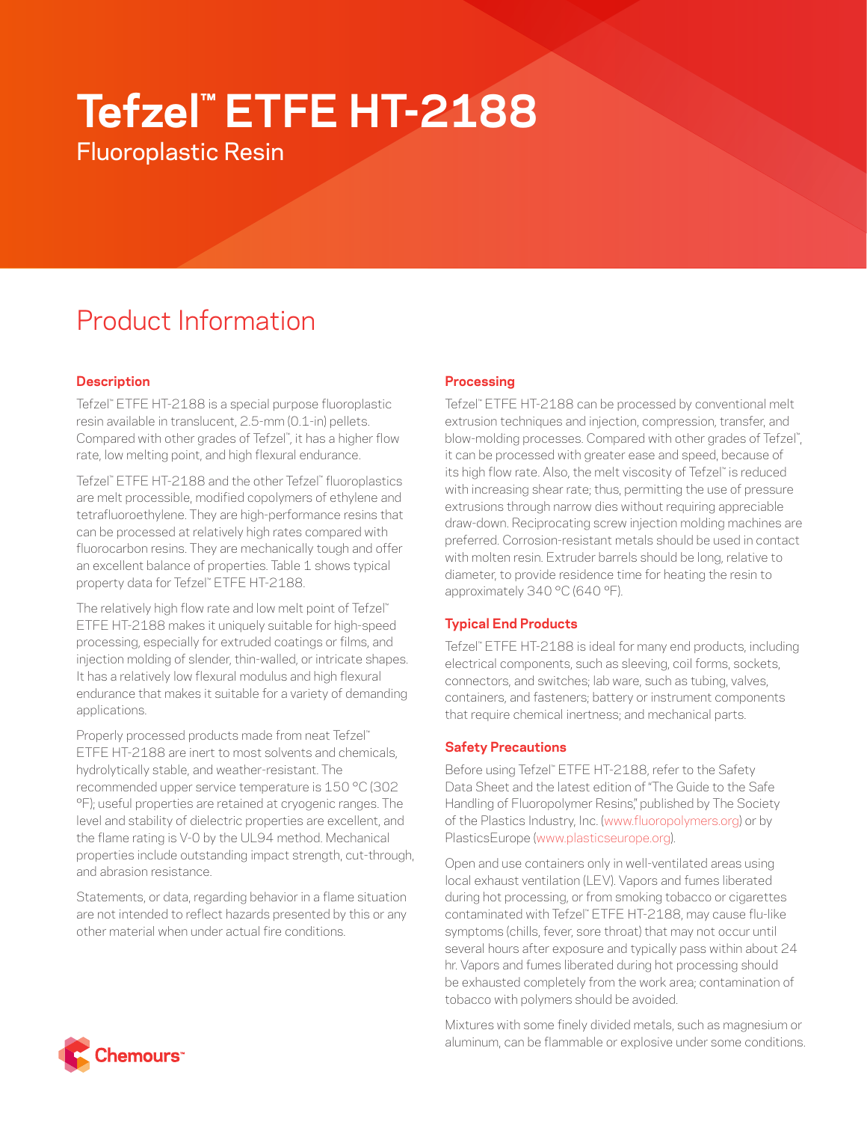# **Tefzel™ ETFE HT-2188**

Fluoroplastic Resin

# Product Information

# **Description**

Tefzel™ ETFE HT-2188 is a special purpose fluoroplastic resin available in translucent, 2.5-mm (0.1-in) pellets. Compared with other grades of Tefzel™ , it has a higher flow rate, low melting point, and high flexural endurance.

Tefzel™ ETFE HT-2188 and the other Tefzel™ fluoroplastics are melt processible, modified copolymers of ethylene and tetrafluoroethylene. They are high-performance resins that can be processed at relatively high rates compared with fluorocarbon resins. They are mechanically tough and offer an excellent balance of properties. Table 1 shows typical property data for Tefzel™ ETFE HT-2188.

The relatively high flow rate and low melt point of Tefzel™ ETFE HT-2188 makes it uniquely suitable for high-speed processing, especially for extruded coatings or films, and injection molding of slender, thin-walled, or intricate shapes. It has a relatively low flexural modulus and high flexural endurance that makes it suitable for a variety of demanding applications.

Properly processed products made from neat Tefzel™ ETFE HT-2188 are inert to most solvents and chemicals, hydrolytically stable, and weather-resistant. The recommended upper service temperature is 150 °C (302 °F); useful properties are retained at cryogenic ranges. The level and stability of dielectric properties are excellent, and the flame rating is V-0 by the UL94 method. Mechanical properties include outstanding impact strength, cut-through, and abrasion resistance.

Statements, or data, regarding behavior in a flame situation are not intended to reflect hazards presented by this or any other material when under actual fire conditions.

# **Processing**

Tefzel™ ETFE HT-2188 can be processed by conventional melt extrusion techniques and injection, compression, transfer, and blow-molding processes. Compared with other grades of Tefzel", it can be processed with greater ease and speed, because of its high flow rate. Also, the melt viscosity of Tefzel™ is reduced with increasing shear rate; thus, permitting the use of pressure extrusions through narrow dies without requiring appreciable draw-down. Reciprocating screw injection molding machines are preferred. Corrosion-resistant metals should be used in contact with molten resin. Extruder barrels should be long, relative to diameter, to provide residence time for heating the resin to approximately 340 °C (640 °F).

# **Typical End Products**

Tefzel™ ETFE HT-2188 is ideal for many end products, including electrical components, such as sleeving, coil forms, sockets, connectors, and switches; lab ware, such as tubing, valves, containers, and fasteners; battery or instrument components that require chemical inertness; and mechanical parts.

# **Safety Precautions**

Before using Tefzel™ ETFE HT-2188, refer to the Safety Data Sheet and the latest edition of "The Guide to the Safe Handling of Fluoropolymer Resins," published by The Society of the Plastics Industry, Inc. ([www.fluoropolymers.org](http://www.fluoropolymers.org)) or by PlasticsEurope ([www.plasticseurope.org\)](http://www.plasticseurope.org).

Open and use containers only in well-ventilated areas using local exhaust ventilation (LEV). Vapors and fumes liberated during hot processing, or from smoking tobacco or cigarettes contaminated with Tefzel™ ETFE HT-2188, may cause flu-like symptoms (chills, fever, sore throat) that may not occur until several hours after exposure and typically pass within about 24 hr. Vapors and fumes liberated during hot processing should be exhausted completely from the work area; contamination of tobacco with polymers should be avoided.

Mixtures with some finely divided metals, such as magnesium or aluminum, can be flammable or explosive under some conditions.